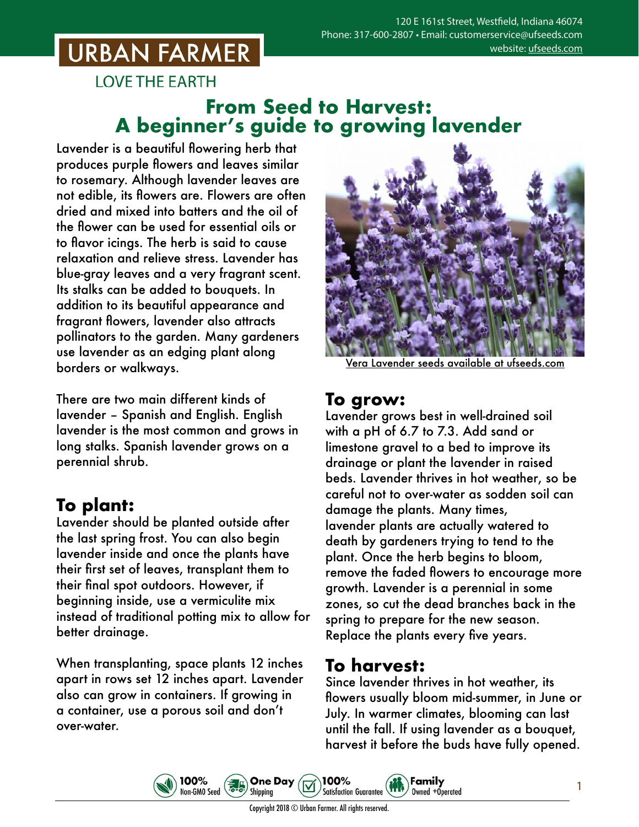# **URBAN FARMER**

**LOVE THE EARTH** 

### **From Seed to Harvest: A beginner's guide to growing lavender**

Lavender is a beautiful flowering herb that produces purple flowers and leaves similar to rosemary. Although lavender leaves are not edible, its flowers are. Flowers are often dried and mixed into batters and the oil of the flower can be used for essential oils or to flavor icings. The herb is said to cause relaxation and relieve stress. Lavender has blue-gray leaves and a very fragrant scent. Its stalks can be added to bouquets. In addition to its beautiful appearance and fragrant flowers, lavender also attracts pollinators to the garden. Many gardeners use lavender as an edging plant along borders or walkways.

There are two main different kinds of lavender – Spanish and English. English lavender is the most common and grows in long stalks. Spanish lavender grows on a perennial shrub.

## **To plant:**

Lavender should be planted outside after the last spring frost. You can also begin lavender inside and once the plants have their first set of leaves, transplant them to their final spot outdoors. However, if beginning inside, use a vermiculite mix instead of traditional potting mix to allow for better drainage.

When transplanting, space plants 12 inches apart in rows set 12 inches apart. Lavender also can grow in containers. If growing in a container, use a porous soil and don't over-water.

100%

Non-GMO Seed



Vera Lavender seeds [available at ufseeds.com](https://www.ufseeds.com/product-category/herbs/lavender/)

#### **To grow:**

Lavender grows best in well-drained soil with a pH of 6.7 to 7.3. Add sand or limestone gravel to a bed to improve its drainage or plant the lavender in raised beds. Lavender thrives in hot weather, so be careful not to over-water as sodden soil can damage the plants. Many times, lavender plants are actually watered to death by gardeners trying to tend to the plant. Once the herb begins to bloom, remove the faded flowers to encourage more growth. Lavender is a perennial in some zones, so cut the dead branches back in the spring to prepare for the new season. Replace the plants every five years.

#### **To harvest:**

Since lavender thrives in hot weather, its flowers usually bloom mid-summer, in June or July. In warmer climates, blooming can last until the fall. If using lavender as a bouquet, harvest it before the buds have fully opened.

Family

Owned +Operated

1

Copyright 2018 © Urban Farmer. All rights reserved.

100%

**Satisfaction Guarantee** 

**One Day** 

Shipping